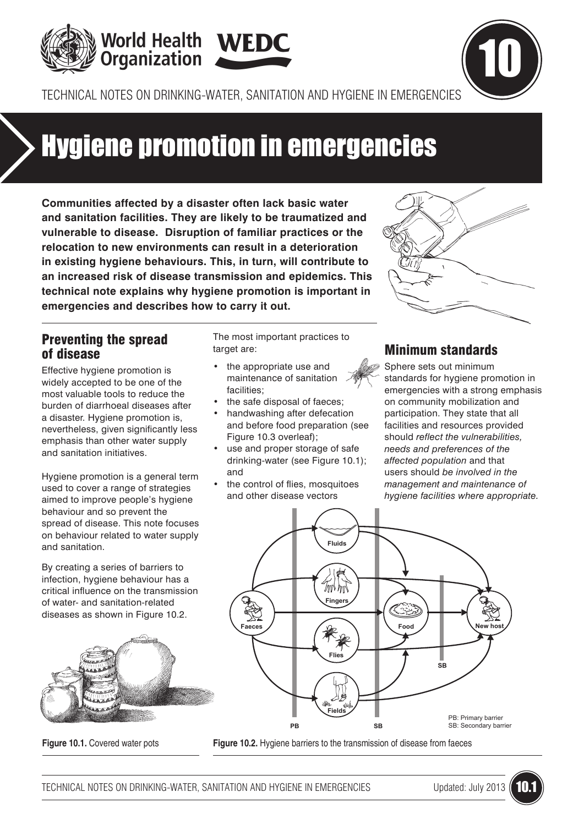



TECHNICAL NOTES ON DRINKING-WATER, SANITATION AND HYGIENE IN EMERGENCIES

# Hygiene promotion in emergencies

**Communities affected by a disaster often lack basic water and sanitation facilities. They are likely to be traumatized and vulnerable to disease. Disruption of familiar practices or the relocation to new environments can result in a deterioration in existing hygiene behaviours. This, in turn, will contribute to an increased risk of disease transmission and epidemics. This technical note explains why hygiene promotion is important in emergencies and describes how to carry it out.**

## Preventing the spread of disease

Effective hygiene promotion is widely accepted to be one of the most valuable tools to reduce the burden of diarrhoeal diseases after a disaster. Hygiene promotion is, nevertheless, given significantly less emphasis than other water supply and sanitation initiatives.

Hygiene promotion is a general term used to cover a range of strategies aimed to improve people's hygiene behaviour and so prevent the spread of disease. This note focuses on behaviour related to water supply and sanitation.

By creating a series of barriers to infection, hygiene behaviour has a critical influence on the transmission of water- and sanitation-related diseases as shown in Figure 10.2.



The most important practices to target are:

- the appropriate use and maintenance of sanitation facilities;
- the safe disposal of faeces:
- handwashing after defecation and before food preparation (see Figure 10.3 overleaf);
- use and proper storage of safe drinking-water (see Figure 10.1); and
- the control of flies, mosquitoes and other disease vectors



# Minimum standards

Sphere sets out minimum standards for hygiene promotion in emergencies with a strong emphasis on community mobilization and participation. They state that all facilities and resources provided should *reflect the vulnerabilities, needs and preferences of the affected population* and that users should *be involved in the management and maintenance of hygiene facilities where appropriate.*



**Figure 10.1.** Covered water pots **Figure 10.2.** Hygiene barriers to the transmission of disease from faeces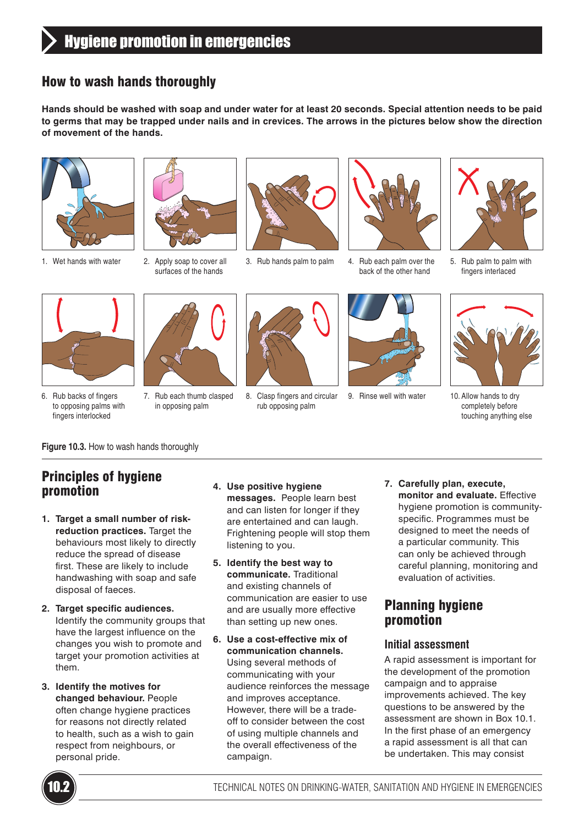# How to wash hands thoroughly

**Hands should be washed with soap and under water for at least 20 seconds. Special attention needs to be paid to germs that may be trapped under nails and in crevices. The arrows in the pictures below show the direction of movement of the hands.**



1. Wet hands with water 2. Apply soap to cover all



surfaces of the hands





3. Rub hands palm to palm 4. Rub each palm over the back of the other hand



5. Rub palm to palm with fingers interlaced



6. Rub backs of fingers to opposing palms with fingers interlocked



7. Rub each thumb clasped in opposing palm



8. Clasp fingers and circular rub opposing palm



9. Rinse well with water 10. Allow hands to dry



completely before touching anything else

**Figure 10.3.** How to wash hands thoroughly

# Principles of hygiene promotion

- **1. Target a small number of riskreduction practices.** Target the behaviours most likely to directly reduce the spread of disease first. These are likely to include handwashing with soap and safe disposal of faeces.
- **2. Target specific audiences.**  Identify the community groups that have the largest influence on the changes you wish to promote and target your promotion activities at them.
- **3. Identify the motives for changed behaviour.** People often change hygiene practices for reasons not directly related to health, such as a wish to gain respect from neighbours, or personal pride.
- **4. Use positive hygiene messages.** People learn best and can listen for longer if they are entertained and can laugh. Frightening people will stop them listening to you.
- **5. Identify the best way to communicate.** Traditional and existing channels of communication are easier to use and are usually more effective than setting up new ones.
- **6. Use a cost-effective mix of communication channels.**  Using several methods of communicating with your audience reinforces the message and improves acceptance. However, there will be a tradeoff to consider between the cost of using multiple channels and the overall effectiveness of the campaign.
- **7. Carefully plan, execute, monitor and evaluate.** Effective hygiene promotion is communityspecific. Programmes must be designed to meet the needs of a particular community. This can only be achieved through careful planning, monitoring and evaluation of activities.

# Planning hygiene promotion

#### **Initial assessment**

A rapid assessment is important for the development of the promotion campaign and to appraise improvements achieved. The key questions to be answered by the assessment are shown in Box 10.1. In the first phase of an emergency a rapid assessment is all that can be undertaken. This may consist

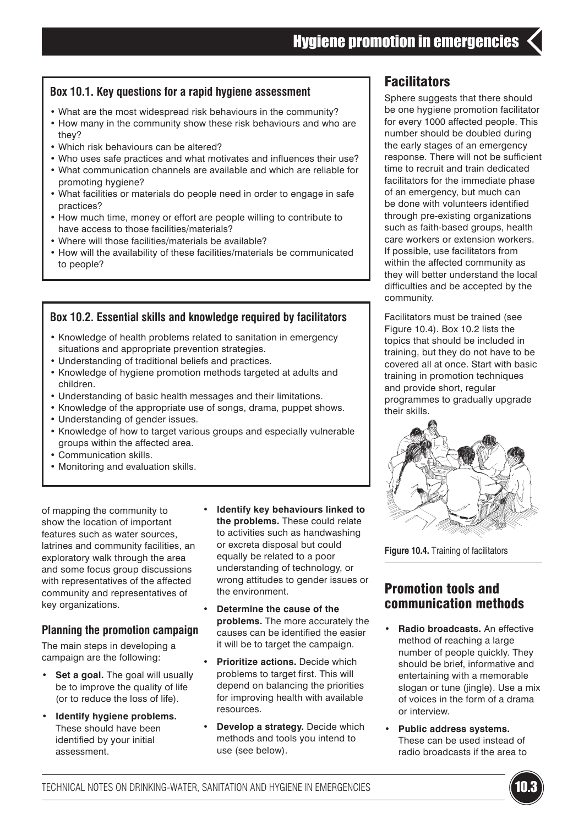#### **Box 10.1. Key questions for a rapid hygiene assessment**

- What are the most widespread risk behaviours in the community?
- How many in the community show these risk behaviours and who are they?
- Which risk behaviours can be altered?
- Who uses safe practices and what motivates and influences their use?
- What communication channels are available and which are reliable for promoting hygiene?
- What facilities or materials do people need in order to engage in safe practices?
- How much time, money or effort are people willing to contribute to have access to those facilities/materials?
- Where will those facilities/materials be available?
- How will the availability of these facilities/materials be communicated to people?

#### **Box 10.2. Essential skills and knowledge required by facilitators**

- Knowledge of health problems related to sanitation in emergency situations and appropriate prevention strategies.
- Understanding of traditional beliefs and practices.
- Knowledge of hygiene promotion methods targeted at adults and children.
- Understanding of basic health messages and their limitations.
- Knowledge of the appropriate use of songs, drama, puppet shows.
- Understanding of gender issues.
- Knowledge of how to target various groups and especially vulnerable groups within the affected area.
- Communication skills.
- Monitoring and evaluation skills.

of mapping the community to show the location of important features such as water sources, latrines and community facilities, an exploratory walk through the area and some focus group discussions with representatives of the affected community and representatives of key organizations.

#### **Planning the promotion campaign**

The main steps in developing a campaign are the following:

- **• Set a goal.** The goal will usually be to improve the quality of life (or to reduce the loss of life).
- **• Identify hygiene problems.** These should have been identified by your initial assessment.
- **• Identify key behaviours linked to the problems.** These could relate to activities such as handwashing or excreta disposal but could equally be related to a poor understanding of technology, or wrong attitudes to gender issues or the environment.
- **• Determine the cause of the problems.** The more accurately the causes can be identified the easier it will be to target the campaign.
- **• Prioritize actions.** Decide which problems to target first. This will depend on balancing the priorities for improving health with available resources.
- **• Develop a strategy.** Decide which methods and tools you intend to use (see below).

# **Facilitators**

Sphere suggests that there should be one hygiene promotion facilitator for every 1000 affected people. This number should be doubled during the early stages of an emergency response. There will not be sufficient time to recruit and train dedicated facilitators for the immediate phase of an emergency, but much can be done with volunteers identified through pre-existing organizations such as faith-based groups, health care workers or extension workers. If possible, use facilitators from within the affected community as they will better understand the local difficulties and be accepted by the community.

Facilitators must be trained (see Figure 10.4). Box 10.2 lists the topics that should be included in training, but they do not have to be covered all at once. Start with basic training in promotion techniques and provide short, regular programmes to gradually upgrade their skills.



**Figure 10.4.** Training of facilitators

## Promotion tools and communication methods

- **• Radio broadcasts.** An effective method of reaching a large number of people quickly. They should be brief, informative and entertaining with a memorable slogan or tune (jingle). Use a mix of voices in the form of a drama or interview.
- **• Public address systems.**  These can be used instead of radio broadcasts if the area to